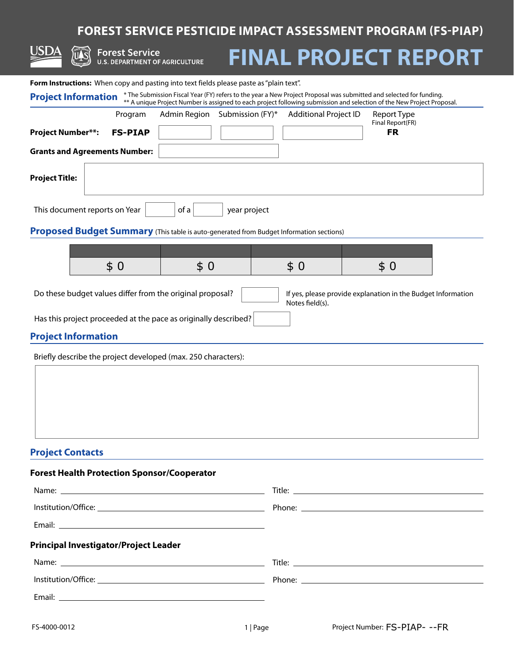## **FOREST SERVICE PESTICIDE IMPACT ASSESSMENT PROGRAM (FS-PIAP)**

|                                                                                                                                              | EST SERVICET ESTICIDE IMITACI ASSESSMENT I ROGRAM (1 S TIAL)                                                           |  |  |  |  |  |  |
|----------------------------------------------------------------------------------------------------------------------------------------------|------------------------------------------------------------------------------------------------------------------------|--|--|--|--|--|--|
| USDA<br><b>Forest Service</b><br><b>U.S. DEPARTMENT OF AGRICULTURE</b>                                                                       | <b>FINAL PROJECT REPORT</b>                                                                                            |  |  |  |  |  |  |
|                                                                                                                                              |                                                                                                                        |  |  |  |  |  |  |
| Form Instructions: When copy and pasting into text fields please paste as "plain text".                                                      | * The Submission Fiscal Year (FY) refers to the year a New Project Proposal was submitted and selected for funding.    |  |  |  |  |  |  |
| <b>Project Information</b>                                                                                                                   | ** A unique Project Number is assigned to each project following submission and selection of the New Project Proposal. |  |  |  |  |  |  |
| Admin Region<br>Submission (FY)*<br>Program                                                                                                  | <b>Additional Project ID</b><br>Report Type<br>Final Report(FR)                                                        |  |  |  |  |  |  |
| Project Number**:<br><b>FS-PIAP</b>                                                                                                          | <b>FR</b>                                                                                                              |  |  |  |  |  |  |
| <b>Grants and Agreements Number:</b>                                                                                                         |                                                                                                                        |  |  |  |  |  |  |
| Project Title:                                                                                                                               |                                                                                                                        |  |  |  |  |  |  |
| This document reports on Year<br>of a<br>year project                                                                                        |                                                                                                                        |  |  |  |  |  |  |
| Proposed Budget Summary (This table is auto-generated from Budget Information sections)                                                      |                                                                                                                        |  |  |  |  |  |  |
|                                                                                                                                              |                                                                                                                        |  |  |  |  |  |  |
| \$0<br>\$0                                                                                                                                   | \$0<br>\$0                                                                                                             |  |  |  |  |  |  |
|                                                                                                                                              |                                                                                                                        |  |  |  |  |  |  |
| Do these budget values differ from the original proposal?<br>If yes, please provide explanation in the Budget Information<br>Notes field(s). |                                                                                                                        |  |  |  |  |  |  |
| Has this project proceeded at the pace as originally described?                                                                              |                                                                                                                        |  |  |  |  |  |  |
| <b>Project Information</b>                                                                                                                   |                                                                                                                        |  |  |  |  |  |  |
| Briefly describe the project developed (max. 250 characters):                                                                                |                                                                                                                        |  |  |  |  |  |  |
|                                                                                                                                              |                                                                                                                        |  |  |  |  |  |  |
|                                                                                                                                              |                                                                                                                        |  |  |  |  |  |  |
|                                                                                                                                              |                                                                                                                        |  |  |  |  |  |  |
|                                                                                                                                              |                                                                                                                        |  |  |  |  |  |  |
|                                                                                                                                              |                                                                                                                        |  |  |  |  |  |  |
| <b>Project Contacts</b>                                                                                                                      |                                                                                                                        |  |  |  |  |  |  |
| <b>Forest Health Protection Sponsor/Cooperator</b>                                                                                           |                                                                                                                        |  |  |  |  |  |  |
|                                                                                                                                              |                                                                                                                        |  |  |  |  |  |  |
|                                                                                                                                              |                                                                                                                        |  |  |  |  |  |  |
|                                                                                                                                              |                                                                                                                        |  |  |  |  |  |  |
| Principal Investigator/Project Leader                                                                                                        |                                                                                                                        |  |  |  |  |  |  |
|                                                                                                                                              |                                                                                                                        |  |  |  |  |  |  |
|                                                                                                                                              |                                                                                                                        |  |  |  |  |  |  |

Email: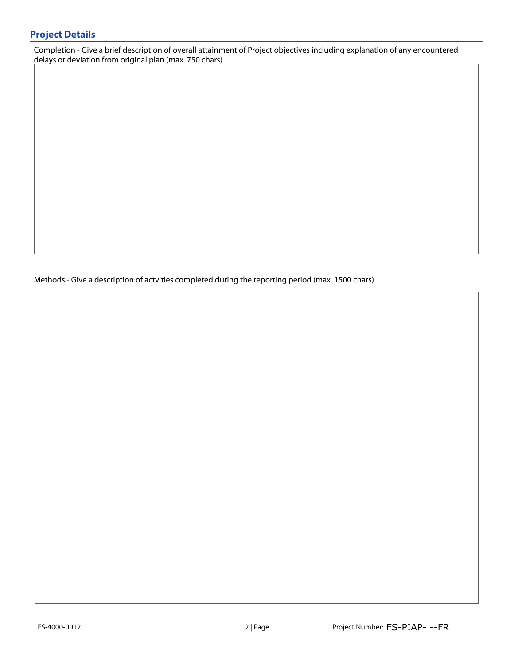## **Project Details**

Completion - Give a brief description of overall attainment of Project objectives including explanation of any encountered delays or deviation from original plan (max. 750 chars)

Methods - Give a description of actvities completed during the reporting period (max. 1500 chars)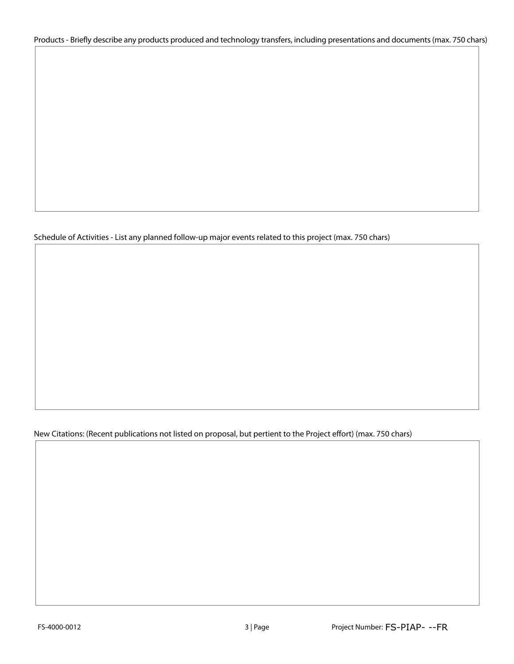Products - Briefly describe any products produced and technology transfers, including presentations and documents (max. 750 chars)

Schedule of Activities - List any planned follow-up major events related to this project (max. 750 chars)

New Citations: (Recent publications not listed on proposal, but pertient to the Project effort) (max. 750 chars)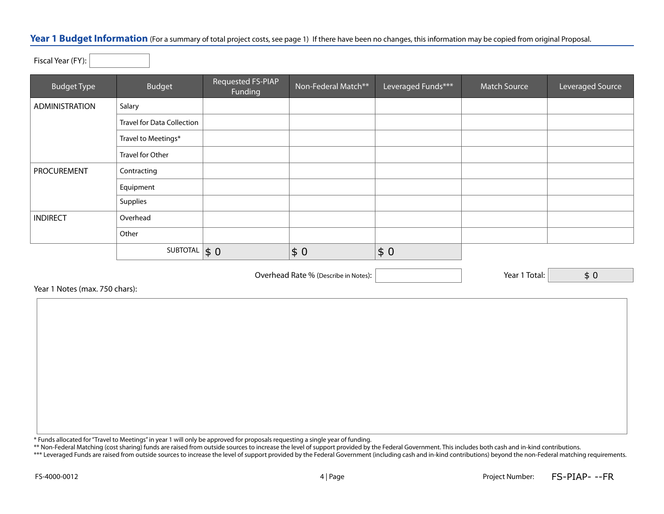## Year 1 Budget Information (For a summary of total project costs, see page 1) If there have been no changes, this information may be copied from original Proposal.

Fiscal Year (FY):

| <b>Budget Type</b> | <b>Budget</b>                     | Requested FS-PIAP<br>Funding | Non-Federal Match** | Leveraged Funds*** | <b>Match Source</b> | Leveraged Source |
|--------------------|-----------------------------------|------------------------------|---------------------|--------------------|---------------------|------------------|
| ADMINISTRATION     | Salary                            |                              |                     |                    |                     |                  |
|                    | <b>Travel for Data Collection</b> |                              |                     |                    |                     |                  |
|                    | Travel to Meetings*               |                              |                     |                    |                     |                  |
|                    | Travel for Other                  |                              |                     |                    |                     |                  |
| PROCUREMENT        | Contracting                       |                              |                     |                    |                     |                  |
|                    | Equipment                         |                              |                     |                    |                     |                  |
|                    | Supplies                          |                              |                     |                    |                     |                  |
| <b>INDIRECT</b>    | Overhead                          |                              |                     |                    |                     |                  |
|                    | Other                             |                              |                     |                    |                     |                  |
|                    | SUBTOTAL $\vert \$ 0$             |                              | \$0                 | \$0                |                     |                  |

Overhead Rate % (Describe in Notes): Year 1 Total:

\$ 0

Year 1 Notes (max. 750 chars):

\* Funds allocated for "Travel to Meetings" in year 1 will only be approved for proposals requesting a single year of funding.

\*\* Non-Federal Matching (cost sharing) funds are raised from outside sources to increase the level of support provided by the Federal Government. This includes both cash and in-kind contributions.

\*\*\* Leveraged Funds are raised from outside sources to increase the level of support provided by the Federal Government (including cash and in-kind contributions) beyond the non-Federal matching requirements.